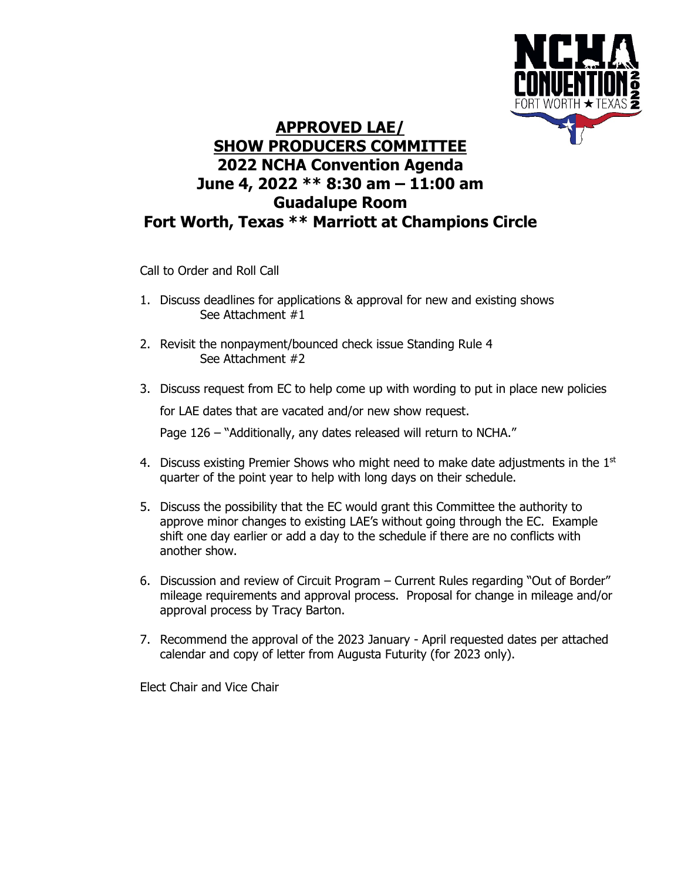

## **APPROVED LAE/ SHOW PRODUCERS COMMITTEE 2022 NCHA Convention Agenda June 4, 2022 \*\* 8:30 am – 11:00 am Guadalupe Room Fort Worth, Texas \*\* Marriott at Champions Circle**

Call to Order and Roll Call

- 1. Discuss deadlines for applications & approval for new and existing shows See Attachment #1
- 2. Revisit the nonpayment/bounced check issue Standing Rule 4 See Attachment #2
- 3. Discuss request from EC to help come up with wording to put in place new policies

for LAE dates that are vacated and/or new show request.

Page 126 – "Additionally, any dates released will return to NCHA."

- 4. Discuss existing Premier Shows who might need to make date adjustments in the  $1<sup>st</sup>$ quarter of the point year to help with long days on their schedule.
- 5. Discuss the possibility that the EC would grant this Committee the authority to approve minor changes to existing LAE's without going through the EC. Example shift one day earlier or add a day to the schedule if there are no conflicts with another show.
- 6. Discussion and review of Circuit Program Current Rules regarding "Out of Border" mileage requirements and approval process. Proposal for change in mileage and/or approval process by Tracy Barton.
- 7. Recommend the approval of the 2023 January April requested dates per attached calendar and copy of letter from Augusta Futurity (for 2023 only).

Elect Chair and Vice Chair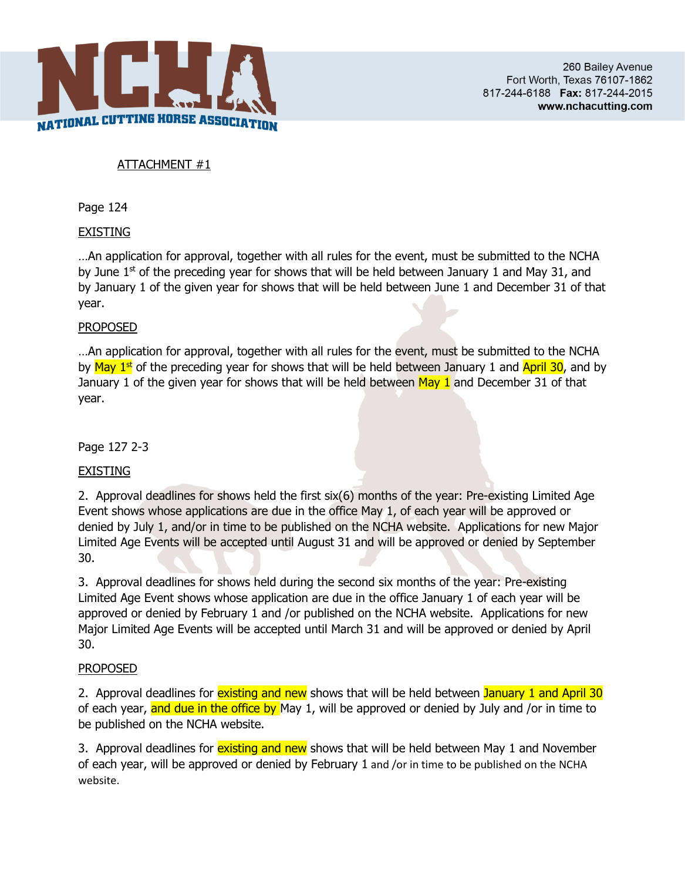

### ATTACHMENT #1

Page 124

#### EXISTING

…An application for approval, together with all rules for the event, must be submitted to the NCHA by June  $1<sup>st</sup>$  of the preceding year for shows that will be held between January 1 and May 31, and by January 1 of the given year for shows that will be held between June 1 and December 31 of that year.

#### PROPOSED

... An application for approval, together with all rules for the event, must be submitted to the NCHA by  $\frac{\text{May } 1\text{st}}{1\text{st}}$  of the preceding year for shows that will be held between January 1 and  $\frac{\text{April } 30}{\text{April}}$ , and by January 1 of the given year for shows that will be held between  $\text{May } 1$  and December 31 of that year.

Page 127 2-3

#### **EXISTING**

2. Approval deadlines for shows held the first six(6) months of the year: Pre-existing Limited Age Event shows whose applications are due in the office May 1, of each year will be approved or denied by July 1, and/or in time to be published on the NCHA website. Applications for new Major Limited Age Events will be accepted until August 31 and will be approved or denied by September 30.

3. Approval deadlines for shows held during the second six months of the year: Pre-existing Limited Age Event shows whose application are due in the office January 1 of each year will be approved or denied by February 1 and /or published on the NCHA website. Applications for new Major Limited Age Events will be accepted until March 31 and will be approved or denied by April 30.

#### PROPOSED

2. Approval deadlines for existing and new shows that will be held between January 1 and April 30 of each year, and due in the office by May 1, will be approved or denied by July and /or in time to be published on the NCHA website.

3. Approval deadlines for existing and new shows that will be held between May 1 and November of each year, will be approved or denied by February 1 and /or in time to be published on the NCHA website.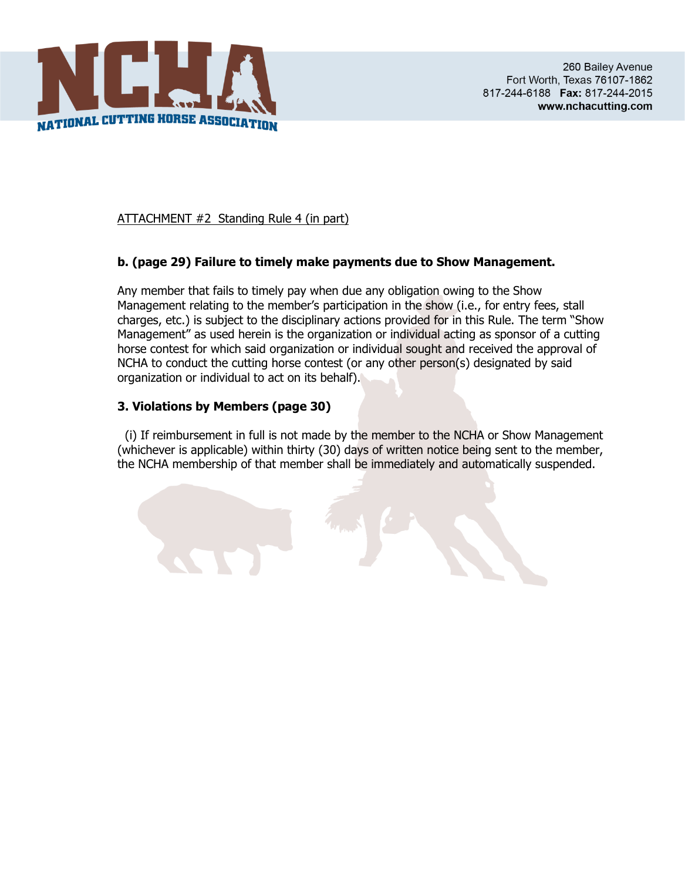

ATTACHMENT #2 Standing Rule 4 (in part)

#### **b. (page 29) Failure to timely make payments due to Show Management.**

Any member that fails to timely pay when due any obligation owing to the Show Management relating to the member's participation in the show (i.e., for entry fees, stall charges, etc.) is subject to the disciplinary actions provided for in this Rule. The term "Show Management" as used herein is the organization or individual acting as sponsor of a cutting horse contest for which said organization or individual sought and received the approval of NCHA to conduct the cutting horse contest (or any other person(s) designated by said organization or individual to act on its behalf).

#### **3. Violations by Members (page 30)**

 (i) If reimbursement in full is not made by the member to the NCHA or Show Management (whichever is applicable) within thirty (30) days of written notice being sent to the member, the NCHA membership of that member shall be immediately and automatically suspended.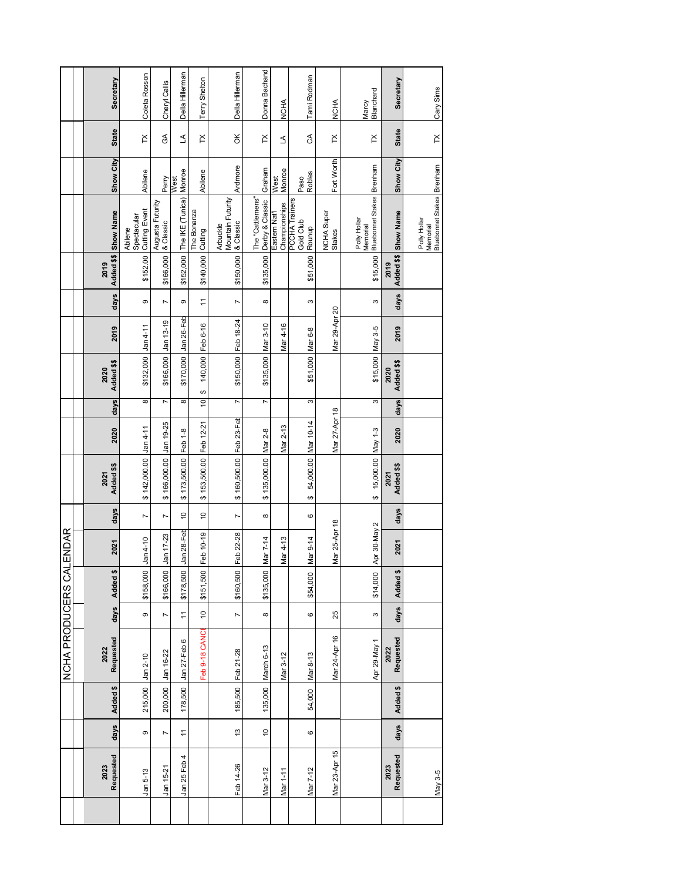|                   |                |          | NCHA PRODUCERS CAI |                |           | ENDAR         |                |                         |               |                |                    |                     |                |                    |                                                       |                |                |                    |
|-------------------|----------------|----------|--------------------|----------------|-----------|---------------|----------------|-------------------------|---------------|----------------|--------------------|---------------------|----------------|--------------------|-------------------------------------------------------|----------------|----------------|--------------------|
|                   |                |          |                    |                |           |               |                |                         |               |                |                    |                     |                |                    |                                                       |                |                |                    |
| Requested<br>2023 | days           | Added \$ | Requested<br>2022  | days           | Added \$  | 2021          | days           | Added \$\$<br>2021      | 2020          | <b>days</b>    | Added \$\$<br>2020 | 2019                | days           | 2019               | Added \$\$ Show Name                                  | Show City      | <b>State</b>   | Secretary          |
| Jan 5-13          | ၜ              | 215,000  | $Jan 2-10$         | თ              | \$158,000 | $Jan4-10$     | $\overline{ }$ | \$142,000.00            | $Jan4-11$     | 8              | \$132,000 Jan 4-11 |                     | Φ              | \$152.00           | <b>Cutting Event</b><br>Spectacular<br>Abilene        | Abilene        | $\mathbb{X}$   | Coleta Rosson      |
| Jan 15-21         | $\overline{ }$ | 200,000  | Jan 16-22          | $\overline{ }$ | \$166,000 | Jan 17-23     | $\overline{ }$ | \$166,000.00            | Jan 19-25     | Γ              | \$166,000          | Jan 13-19           | $\overline{ }$ | \$166,000          | Augusta Futurity<br>& Classic                         | Perry          | $\mathfrak{F}$ | Cheryl Callis      |
| Jan 25 Feb 4      | $\overline{1}$ | 178,500  | Jan 27-Feb 6       | $\overline{1}$ | \$178,500 | Jan 28-Feb    | $\tilde{a}$    | \$173,500.00            | Feb 1-8       | 8              | \$170,000          | Jan 26-Feb          | တ              | \$152,000          | The IKE (Tunica)                                      | Monroe<br>West | L              | Della Hillerman    |
|                   |                |          | Feb 9-18 CANCE     | $\tilde{a}$    | \$151,500 | Feb 10-19     | ő              | \$153,500.00            | Feb 12-21     | $\overline{0}$ | ↔                  | 140,000 Feb 6-16    | $\overline{a}$ | \$140,000          | he Bonanza<br>Cutting                                 | Abilene        | $\mathsf{X}$   | Terry Shelton      |
| Feb 14-26         | $\frac{3}{2}$  |          | 185,500 Feb 21-28  | $\overline{ }$ | \$160,500 | Feb 22-28     | $\overline{ }$ | \$160,500.00 Feb 23-Feb |               | N              |                    | \$150,000 Feb 18-24 | $\overline{ }$ | \$150,000          | Mountain Futurity<br>& Classic<br>Arbuckle            | Ardmore        | ă              | Della Hillerman    |
| Mar 3-12          | $\frac{1}{2}$  | 135,000  | March 6-13         | $\infty$       | \$135,000 | Mar 7-14      | $\infty$       | \$135,000.00            | Mar 2-8       | $\overline{ }$ | \$135,000 Mar 3-10 |                     | $\infty$       | \$135,000          | The "Cattlemens"<br>Derby & Classic                   | Graham         | $\times$       | Donna Bachand      |
| Mar 1-11          |                |          | Mar 3-12           |                |           | Mar 4-13      |                |                         | Mar 2-13      |                |                    | Mar 4-16            |                |                    | Championships<br>Eastern Nat'l                        | Monroe<br>West | ₹              | NCHA               |
| Mar 7-12          | 6              | 54,000   | Mar 8-13           | 6              | \$54,000  | Mar 9-14      | 6              | 54,000.00<br>↔          | Mar 10-14     | 3              | \$51,000 Mar 6-8   |                     | S              | \$51,000           | PCCHA Trainers<br>Gold Club<br>Rounup                 | Robles<br>Paso | E              | Tami Rodman        |
| Mar 23-Apr 15     |                |          | Mar 24-Apr 16      | 25             |           | Mar 25-Apr 18 |                |                         | Mar 27-Apr 18 |                |                    | Mar 29-Apr 20       |                |                    | NCHA Super<br>Stakes                                  | Fort Worth     | $\times$       | NCHA               |
|                   |                |          | Apr 29-May 1       | S              | \$14,000  | Apr 30-May 2  |                | 15,000.00 May 1-3<br>↔  |               | 3              | \$15,000 May 3-5   |                     | ო              | \$15,000           | <b>Bluebonnet Stakes</b><br>Polly Hollar<br>Memorial  | Brenham        | $\mathsf{X}$   | Blanchard<br>Marcy |
| Requested<br>2023 | days           | Added \$ | Requested<br>2022  | days           | Added \$  | 2021          | days           | Added \$\$<br>2021      | 2020          | days           | Added \$\$<br>2020 | 2019                | days           | Added \$\$<br>2019 | <b>Show Name</b>                                      | Show City      | <b>State</b>   | Secretary          |
| May 3-5           |                |          |                    |                |           |               |                |                         |               |                |                    |                     |                |                    | Bluebonnet Stakes Brenham<br>Polly Hollar<br>Memorial |                | $\mathsf{X}$   | Cary Sims          |